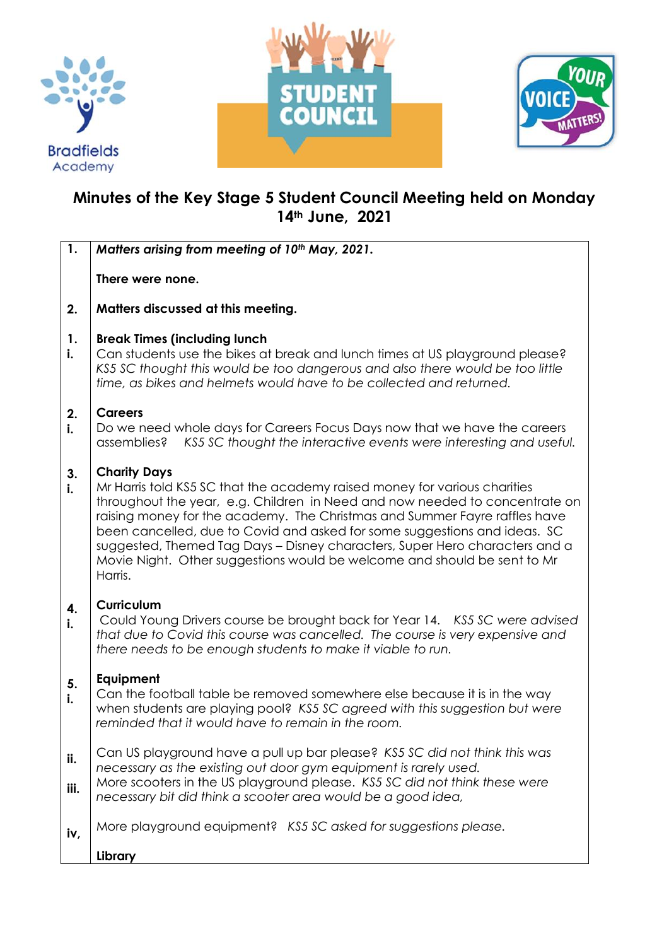





## **Minutes of the Key Stage 5 Student Council Meeting held on Monday 14th June, 2021**

| $\mathbf{1}$ . | Matters arising from meeting of 10th May, 2021.                                                                                                                                                                                                                                                                                                                                                                                                                                                                  |
|----------------|------------------------------------------------------------------------------------------------------------------------------------------------------------------------------------------------------------------------------------------------------------------------------------------------------------------------------------------------------------------------------------------------------------------------------------------------------------------------------------------------------------------|
|                | There were none.                                                                                                                                                                                                                                                                                                                                                                                                                                                                                                 |
| 2.             | Matters discussed at this meeting.                                                                                                                                                                                                                                                                                                                                                                                                                                                                               |
| 1.<br>i.       | <b>Break Times (including lunch</b><br>Can students use the bikes at break and lunch times at US playground please?<br>KS5 SC thought this would be too dangerous and also there would be too little<br>time, as bikes and helmets would have to be collected and returned.                                                                                                                                                                                                                                      |
| 2.<br>i.       | <b>Careers</b><br>Do we need whole days for Careers Focus Days now that we have the careers<br>assemblies? KS5 SC thought the interactive events were interesting and useful.                                                                                                                                                                                                                                                                                                                                    |
| 3.<br>i.       | <b>Charity Days</b><br>Mr Harris told KS5 SC that the academy raised money for various charities<br>throughout the year, e.g. Children in Need and now needed to concentrate on<br>raising money for the academy. The Christmas and Summer Fayre raffles have<br>been cancelled, due to Covid and asked for some suggestions and ideas. SC<br>suggested, Themed Tag Days - Disney characters, Super Hero characters and a<br>Movie Night. Other suggestions would be welcome and should be sent to Mr<br>Harris. |
| 4.<br>i.       | <b>Curriculum</b><br>Could Young Drivers course be brought back for Year 14. KS5 SC were advised<br>that due to Covid this course was cancelled. The course is very expensive and<br>there needs to be enough students to make it viable to run.                                                                                                                                                                                                                                                                 |
| 5.<br>i.       | Equipment<br>Can the football table be removed somewhere else because it is in the way<br>when students are playing pool? KS5 SC agreed with this suggestion but were<br>reminded that it would have to remain in the room.                                                                                                                                                                                                                                                                                      |
| ii.<br>iii.    | Can US playground have a pull up bar please? KS5 SC did not think this was<br>necessary as the existing out door gym equipment is rarely used.<br>More scooters in the US playground please. KS5 SC did not think these were<br>necessary bit did think a scooter area would be a good idea,                                                                                                                                                                                                                     |
| iv,            | More playground equipment? KS5 SC asked for suggestions please.<br>Library                                                                                                                                                                                                                                                                                                                                                                                                                                       |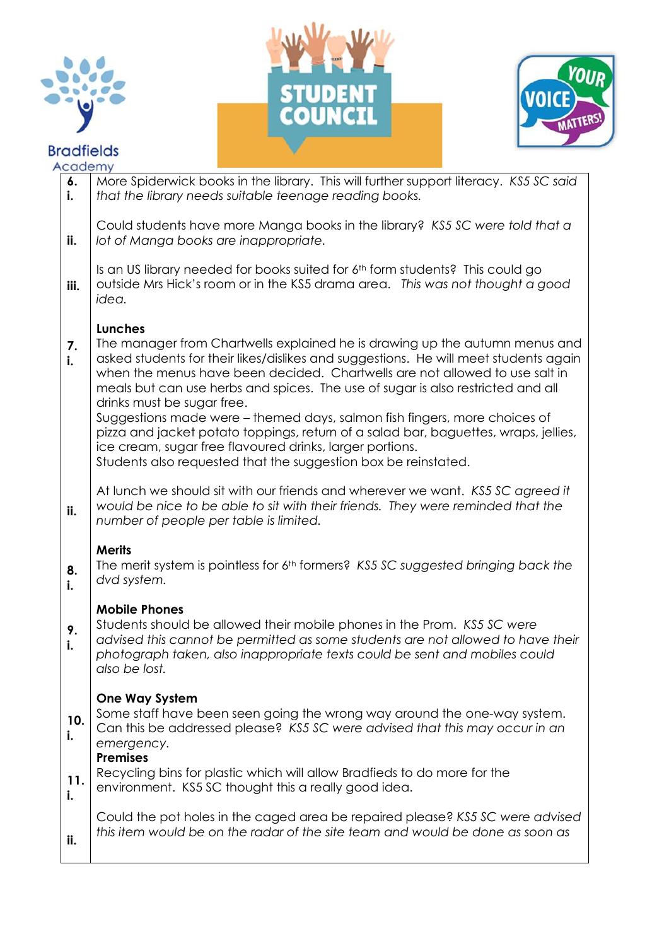







| Academy   |                                                                                                                                                                                                                                                                                                                                                                                                                                                                                                                                                                                                                                                                                  |
|-----------|----------------------------------------------------------------------------------------------------------------------------------------------------------------------------------------------------------------------------------------------------------------------------------------------------------------------------------------------------------------------------------------------------------------------------------------------------------------------------------------------------------------------------------------------------------------------------------------------------------------------------------------------------------------------------------|
| 6.<br>i.  | More Spiderwick books in the library. This will further support literacy. KS5 SC said<br>that the library needs suitable teenage reading books.                                                                                                                                                                                                                                                                                                                                                                                                                                                                                                                                  |
| ii.       | Could students have more Manga books in the library? KS5 SC were told that a<br>lot of Manga books are inappropriate.                                                                                                                                                                                                                                                                                                                                                                                                                                                                                                                                                            |
| iii.      | Is an US library needed for books suited for 6th form students? This could go<br>outside Mrs Hick's room or in the KS5 drama area. This was not thought a good<br>idea.                                                                                                                                                                                                                                                                                                                                                                                                                                                                                                          |
| 7.<br>i.  | Lunches<br>The manager from Chartwells explained he is drawing up the autumn menus and<br>asked students for their likes/dislikes and suggestions. He will meet students again<br>when the menus have been decided. Chartwells are not allowed to use salt in<br>meals but can use herbs and spices. The use of sugar is also restricted and all<br>drinks must be sugar free.<br>Suggestions made were - themed days, salmon fish fingers, more choices of<br>pizza and jacket potato toppings, return of a salad bar, baguettes, wraps, jellies,<br>ice cream, sugar free flavoured drinks, larger portions.<br>Students also requested that the suggestion box be reinstated. |
| ii.       | At lunch we should sit with our friends and wherever we want. KS5 SC agreed it<br>would be nice to be able to sit with their friends. They were reminded that the<br>number of people per table is limited.                                                                                                                                                                                                                                                                                                                                                                                                                                                                      |
| 8.<br>i.  | <b>Merits</b><br>The merit system is pointless for 6 <sup>th</sup> formers? KS5 SC suggested bringing back the<br>dvd system.                                                                                                                                                                                                                                                                                                                                                                                                                                                                                                                                                    |
| 9.<br>i.  | <b>Mobile Phones</b><br>Students should be allowed their mobile phones in the Prom. KS5 SC were<br>advised this cannot be permitted as some students are not allowed to have their<br>photograph taken, also inappropriate texts could be sent and mobiles could<br>also be lost.                                                                                                                                                                                                                                                                                                                                                                                                |
| 10.<br>i. | <b>One Way System</b><br>Some staff have been seen going the wrong way around the one-way system.<br>Can this be addressed please? KS5 SC were advised that this may occur in an<br>emergency.<br><b>Premises</b>                                                                                                                                                                                                                                                                                                                                                                                                                                                                |
| 11.<br>i. | Recycling bins for plastic which will allow Bradfieds to do more for the<br>environment. KS5 SC thought this a really good idea.                                                                                                                                                                                                                                                                                                                                                                                                                                                                                                                                                 |
| ii.       | Could the pot holes in the caged area be repaired please? KS5 SC were advised<br>this item would be on the radar of the site team and would be done as soon as                                                                                                                                                                                                                                                                                                                                                                                                                                                                                                                   |